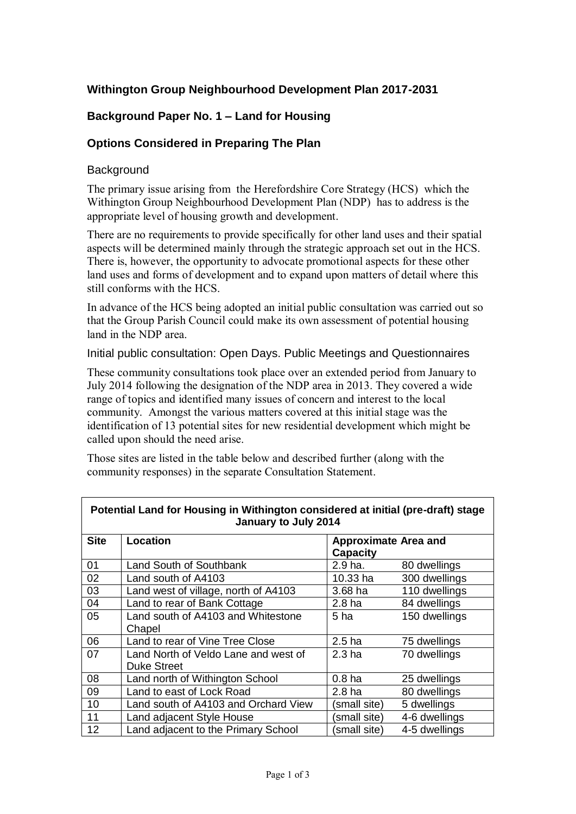# **Withington Group Neighbourhood Development Plan 2017-2031**

# **Background Paper No. 1 – Land for Housing**

## **Options Considered in Preparing The Plan**

#### **Background**

The primary issue arising from the Herefordshire Core Strategy (HCS) which the Withington Group Neighbourhood Development Plan (NDP) has to address is the appropriate level of housing growth and development.

There are no requirements to provide specifically for other land uses and their spatial aspects will be determined mainly through the strategic approach set out in the HCS. There is, however, the opportunity to advocate promotional aspects for these other land uses and forms of development and to expand upon matters of detail where this still conforms with the HCS.

In advance of the HCS being adopted an initial public consultation was carried out so that the Group Parish Council could make its own assessment of potential housing land in the NDP area.

Initial public consultation: Open Days. Public Meetings and Questionnaires

These community consultations took place over an extended period from January to July 2014 following the designation of the NDP area in 2013. They covered a wide range of topics and identified many issues of concern and interest to the local community. Amongst the various matters covered at this initial stage was the identification of 13 potential sites for new residential development which might be called upon should the need arise.

Those sites are listed in the table below and described further (along with the community responses) in the separate Consultation Statement.

| Potential Land for Housing in Withington considered at initial (pre-draft) stage<br>January to July 2014 |                                                            |                                                |               |  |
|----------------------------------------------------------------------------------------------------------|------------------------------------------------------------|------------------------------------------------|---------------|--|
| <b>Site</b>                                                                                              | Location                                                   | <b>Approximate Area and</b><br><b>Capacity</b> |               |  |
| 01                                                                                                       | Land South of Southbank                                    | 2.9 ha.                                        | 80 dwellings  |  |
| 02                                                                                                       | Land south of A4103                                        | 10.33 ha                                       | 300 dwellings |  |
| 03                                                                                                       | Land west of village, north of A4103                       | 3.68 ha                                        | 110 dwellings |  |
| 04                                                                                                       | Land to rear of Bank Cottage                               | 2.8 <sub>ha</sub>                              | 84 dwellings  |  |
| 05                                                                                                       | Land south of A4103 and Whitestone<br>Chapel               | 5 ha                                           | 150 dwellings |  |
| 06                                                                                                       | Land to rear of Vine Tree Close                            | 2.5 <sub>ha</sub>                              | 75 dwellings  |  |
| 07                                                                                                       | Land North of Veldo Lane and west of<br><b>Duke Street</b> | 2.3 <sub>ha</sub>                              | 70 dwellings  |  |
| 08                                                                                                       | Land north of Withington School                            | 0.8 <sub>ha</sub>                              | 25 dwellings  |  |
| 09                                                                                                       | Land to east of Lock Road                                  | 2.8 <sub>ha</sub>                              | 80 dwellings  |  |
| 10                                                                                                       | Land south of A4103 and Orchard View                       | (small site)                                   | 5 dwellings   |  |
| 11                                                                                                       | Land adjacent Style House                                  | (small site)                                   | 4-6 dwellings |  |
| 12                                                                                                       | Land adjacent to the Primary School                        | (small site)                                   | 4-5 dwellings |  |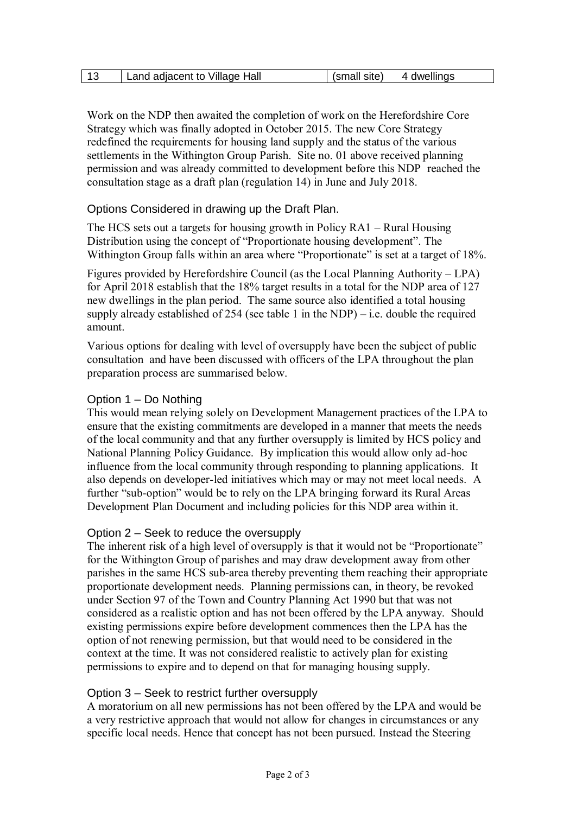| (small site)<br>Land adjacent to Village Hall<br>4 dwellings |  |
|--------------------------------------------------------------|--|
|--------------------------------------------------------------|--|

Work on the NDP then awaited the completion of work on the Herefordshire Core Strategy which was finally adopted in October 2015. The new Core Strategy redefined the requirements for housing land supply and the status of the various settlements in the Withington Group Parish. Site no. 01 above received planning permission and was already committed to development before this NDP reached the consultation stage as a draft plan (regulation 14) in June and July 2018.

## Options Considered in drawing up the Draft Plan.

The HCS sets out a targets for housing growth in Policy RA1 – Rural Housing Distribution using the concept of "Proportionate housing development". The Withington Group falls within an area where "Proportionate" is set at a target of 18%.

Figures provided by Herefordshire Council (as the Local Planning Authority – LPA) for April 2018 establish that the 18% target results in a total for the NDP area of 127 new dwellings in the plan period. The same source also identified a total housing supply already established of 254 (see table 1 in the NDP) – i.e. double the required amount.

Various options for dealing with level of oversupply have been the subject of public consultation and have been discussed with officers of the LPA throughout the plan preparation process are summarised below.

## Option 1 – Do Nothing

This would mean relying solely on Development Management practices of the LPA to ensure that the existing commitments are developed in a manner that meets the needs of the local community and that any further oversupply is limited by HCS policy and National Planning Policy Guidance. By implication this would allow only ad-hoc influence from the local community through responding to planning applications. It also depends on developer-led initiatives which may or may not meet local needs. A further "sub-option" would be to rely on the LPA bringing forward its Rural Areas Development Plan Document and including policies for this NDP area within it.

## Option 2 – Seek to reduce the oversupply

The inherent risk of a high level of oversupply is that it would not be "Proportionate" for the Withington Group of parishes and may draw development away from other parishes in the same HCS sub-area thereby preventing them reaching their appropriate proportionate development needs. Planning permissions can, in theory, be revoked under Section 97 of the Town and Country Planning Act 1990 but that was not considered as a realistic option and has not been offered by the LPA anyway. Should existing permissions expire before development commences then the LPA has the option of not renewing permission, but that would need to be considered in the context at the time. It was not considered realistic to actively plan for existing permissions to expire and to depend on that for managing housing supply.

## Option 3 – Seek to restrict further oversupply

A moratorium on all new permissions has not been offered by the LPA and would be a very restrictive approach that would not allow for changes in circumstances or any specific local needs. Hence that concept has not been pursued. Instead the Steering